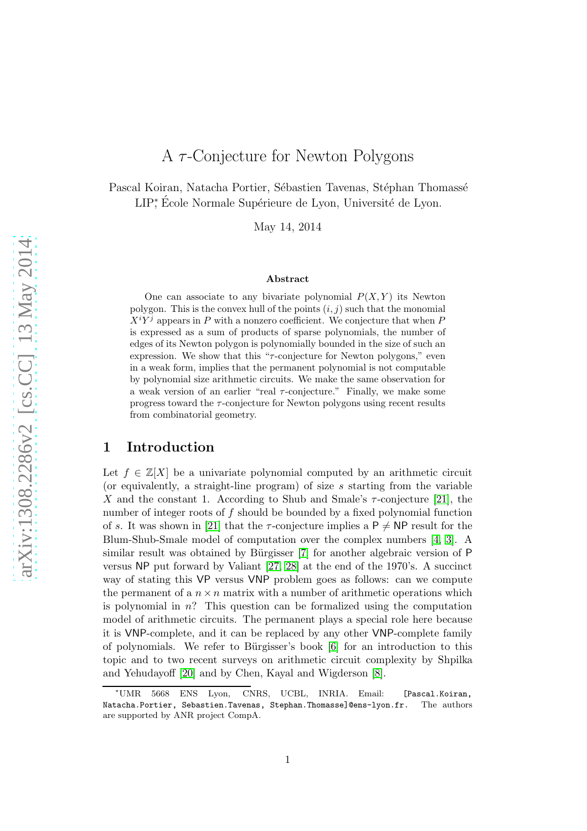# A  $\tau$ -Conjecture for Newton Polygons

Pascal Koiran, Natacha Portier, Sébastien Tavenas, Stéphan Thomassé LIP<sup>\*</sup>, École Normale Supérieure de Lyon, Université de Lyon.

May 14, 2014

#### Abstract

One can associate to any bivariate polynomial  $P(X, Y)$  its Newton polygon. This is the convex hull of the points  $(i, j)$  such that the monomial  $X<sup>i</sup>Y<sup>j</sup>$  appears in P with a nonzero coefficient. We conjecture that when P is expressed as a sum of products of sparse polynomials, the number of edges of its Newton polygon is polynomially bounded in the size of such an expression. We show that this " $\tau$ -conjecture for Newton polygons," even in a weak form, implies that the permanent polynomial is not computable by polynomial size arithmetic circuits. We make the same observation for a weak version of an earlier "real  $\tau$ -conjecture." Finally, we make some progress toward the  $\tau$ -conjecture for Newton polygons using recent results from combinatorial geometry.

# 1 Introduction

Let  $f \in \mathbb{Z}[X]$  be a univariate polynomial computed by an arithmetic circuit (or equivalently, a straight-line program) of size s starting from the variable X and the constant 1. According to Shub and Smale's  $\tau$ -conjecture [\[21\]](#page-11-0), the number of integer roots of  $f$  should be bounded by a fixed polynomial function of s. It was shown in [\[21\]](#page-11-0) that the  $\tau$ -conjecture implies a P  $\neq$  NP result for the Blum-Shub-Smale model of computation over the complex numbers [\[4,](#page-10-0) [3\]](#page-10-1). A similar result was obtained by Bürgisser  $[7]$  for another algebraic version of P versus NP put forward by Valiant [\[27,](#page-11-1) [28\]](#page-11-2) at the end of the 1970's. A succinct way of stating this VP versus VNP problem goes as follows: can we compute the permanent of a  $n \times n$  matrix with a number of arithmetic operations which is polynomial in  $n$ ? This question can be formalized using the computation model of arithmetic circuits. The permanent plays a special role here because it is VNP-complete, and it can be replaced by any other VNP-complete family of polynomials. We refer to Bürgisser's book  $[6]$  for an introduction to this topic and to two recent surveys on arithmetic circuit complexity by Shpilka and Yehudayoff [\[20\]](#page-11-3) and by Chen, Kayal and Wigderson [\[8\]](#page-10-4).

<sup>∗</sup>UMR 5668 ENS Lyon, CNRS, UCBL, INRIA. Email: [Pascal.Koiran, Natacha.Portier, Sebastien.Tavenas, Stephan.Thomasse]@ens-lyon.fr. The authors are supported by ANR project CompA.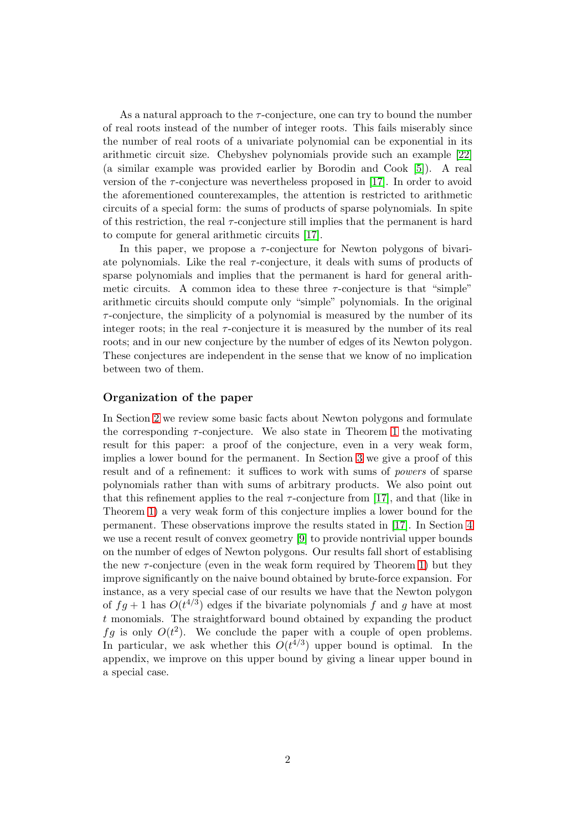As a natural approach to the  $\tau$ -conjecture, one can try to bound the number of real roots instead of the number of integer roots. This fails miserably since the number of real roots of a univariate polynomial can be exponential in its arithmetic circuit size. Chebyshev polynomials provide such an example [\[22\]](#page-11-4) (a similar example was provided earlier by Borodin and Cook [\[5\]](#page-10-5)). A real version of the  $\tau$ -conjecture was nevertheless proposed in [\[17\]](#page-10-6). In order to avoid the aforementioned counterexamples, the attention is restricted to arithmetic circuits of a special form: the sums of products of sparse polynomials. In spite of this restriction, the real  $\tau$ -conjecture still implies that the permanent is hard to compute for general arithmetic circuits [\[17\]](#page-10-6).

In this paper, we propose a  $\tau$ -conjecture for Newton polygons of bivariate polynomials. Like the real  $\tau$ -conjecture, it deals with sums of products of sparse polynomials and implies that the permanent is hard for general arithmetic circuits. A common idea to these three  $\tau$ -conjecture is that "simple" arithmetic circuits should compute only "simple" polynomials. In the original  $\tau$ -conjecture, the simplicity of a polynomial is measured by the number of its integer roots; in the real  $\tau$ -conjecture it is measured by the number of its real roots; and in our new conjecture by the number of edges of its Newton polygon. These conjectures are independent in the sense that we know of no implication between two of them.

#### Organization of the paper

In Section [2](#page-2-0) we review some basic facts about Newton polygons and formulate the corresponding  $\tau$ -conjecture. We also state in Theorem [1](#page-4-0) the motivating result for this paper: a proof of the conjecture, even in a very weak form, implies a lower bound for the permanent. In Section [3](#page-4-1) we give a proof of this result and of a refinement: it suffices to work with sums of powers of sparse polynomials rather than with sums of arbitrary products. We also point out that this refinement applies to the real  $\tau$ -conjecture from [\[17\]](#page-10-6), and that (like in Theorem [1\)](#page-4-0) a very weak form of this conjecture implies a lower bound for the permanent. These observations improve the results stated in [\[17\]](#page-10-6). In Section [4](#page-7-0) we use a recent result of convex geometry [\[9\]](#page-10-7) to provide nontrivial upper bounds on the number of edges of Newton polygons. Our results fall short of establising the new  $\tau$ -conjecture (even in the weak form required by Theorem [1\)](#page-4-0) but they improve significantly on the naive bound obtained by brute-force expansion. For instance, as a very special case of our results we have that the Newton polygon of  $fg + 1$  has  $O(t^{4/3})$  edges if the bivariate polynomials f and g have at most t monomials. The straightforward bound obtained by expanding the product fg is only  $O(t^2)$ . We conclude the paper with a couple of open problems. In particular, we ask whether this  $O(t^{4/3})$  upper bound is optimal. In the appendix, we improve on this upper bound by giving a linear upper bound in a special case.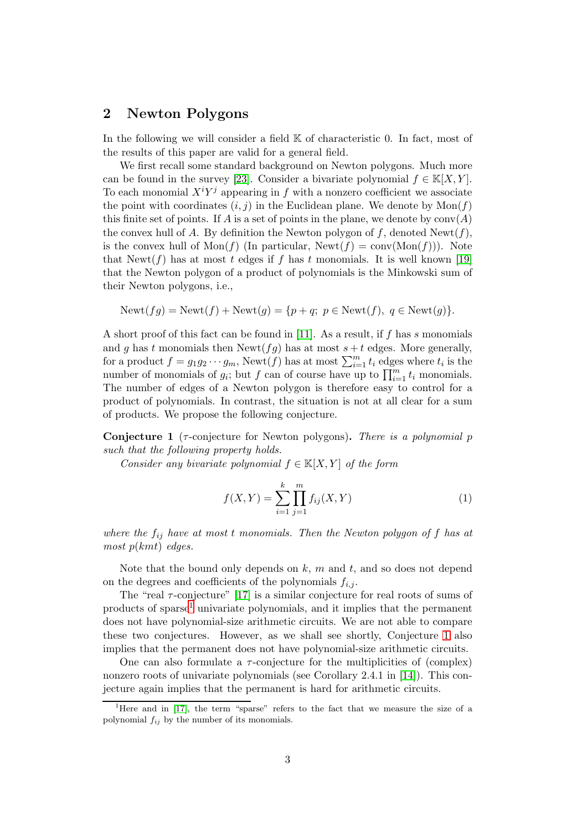## <span id="page-2-0"></span>2 Newton Polygons

In the following we will consider a field  $K$  of characteristic 0. In fact, most of the results of this paper are valid for a general field.

We first recall some standard background on Newton polygons. Much more can be found in the survey [\[23\]](#page-11-5). Consider a bivariate polynomial  $f \in K[X, Y]$ . To each monomial  $X^i Y^j$  appearing in f with a nonzero coefficient we associate the point with coordinates  $(i, j)$  in the Euclidean plane. We denote by  $Mon(f)$ this finite set of points. If A is a set of points in the plane, we denote by  $conv(A)$ the convex hull of A. By definition the Newton polygon of f, denoted  $\text{Newt}(f)$ , is the convex hull of  $Mon(f)$  (In particular,  $Newt(f) = conv(Mon(f)))$ ). Note that Newt(f) has at most t edges if f has t monomials. It is well known [\[19\]](#page-11-6) that the Newton polygon of a product of polynomials is the Minkowski sum of their Newton polygons, i.e.,

$$
Newt(fg) = Newt(f) + Newt(g) = \{p + q; p \in Newt(f), q \in Newt(g)\}.
$$

A short proof of this fact can be found in [\[11\]](#page-10-8). As a result, if f has s monomials and g has t monomials then Newt( $fg$ ) has at most  $s + t$  edges. More generally, for a product  $f = g_1 g_2 \cdots g_m$ , Newt $(f)$  has at most  $\sum_{i=1}^m t_i$  edges where  $t_i$  is the number of monomials of  $g_i$ ; but f can of course have up to  $\prod_{i=1}^m t_i$  monomials. The number of edges of a Newton polygon is therefore easy to control for a product of polynomials. In contrast, the situation is not at all clear for a sum of products. We propose the following conjecture.

<span id="page-2-2"></span>**Conjecture 1** ( $\tau$ -conjecture for Newton polygons). There is a polynomial p such that the following property holds.

Consider any bivariate polynomial  $f \in K[X, Y]$  of the form

<span id="page-2-3"></span>
$$
f(X,Y) = \sum_{i=1}^{k} \prod_{j=1}^{m} f_{ij}(X,Y)
$$
 (1)

where the  $f_{ij}$  have at most t monomials. Then the Newton polygon of f has at most  $p(kmt)$  edges.

Note that the bound only depends on  $k$ ,  $m$  and  $t$ , and so does not depend on the degrees and coefficients of the polynomials  $f_{i,j}$ .

The "real  $\tau$ -conjecture" [\[17\]](#page-10-6) is a similar conjecture for real roots of sums of products of sparse[1](#page-2-1) univariate polynomials, and it implies that the permanent does not have polynomial-size arithmetic circuits. We are not able to compare these two conjectures. However, as we shall see shortly, Conjecture [1](#page-2-2) also implies that the permanent does not have polynomial-size arithmetic circuits.

One can also formulate a  $\tau$ -conjecture for the multiplicities of (complex) nonzero roots of univariate polynomials (see Corollary 2.4.1 in [\[14\]](#page-10-9)). This conjecture again implies that the permanent is hard for arithmetic circuits.

<span id="page-2-1"></span><sup>&</sup>lt;sup>1</sup>Here and in [\[17\]](#page-10-6), the term "sparse" refers to the fact that we measure the size of a polynomial  $f_{ij}$  by the number of its monomials.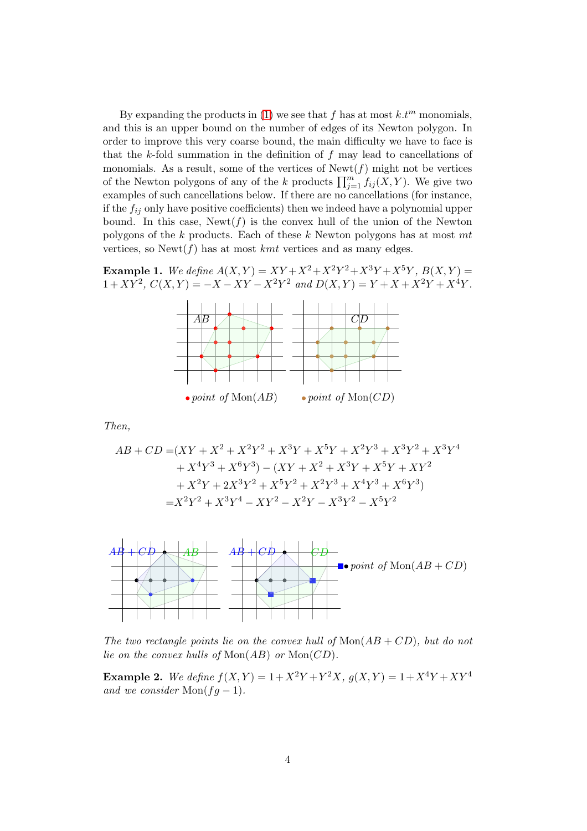By expanding the products in [\(1\)](#page-2-3) we see that f has at most  $k.t^m$  monomials, and this is an upper bound on the number of edges of its Newton polygon. In order to improve this very coarse bound, the main difficulty we have to face is that the k-fold summation in the definition of  $f$  may lead to cancellations of monomials. As a result, some of the vertices of  $\text{Newt}(f)$  might not be vertices of the Newton polygons of any of the k products  $\prod_{j=1}^m f_{ij}(X, Y)$ . We give two examples of such cancellations below. If there are no cancellations (for instance, if the  $f_{ij}$  only have positive coefficients) then we indeed have a polynomial upper bound. In this case,  $\text{Newt}(f)$  is the convex hull of the union of the Newton polygons of the k products. Each of these k Newton polygons has at most mt vertices, so  $\text{Newt}(f)$  has at most *kmt* vertices and as many edges.

**Example 1.** We define  $A(X,Y) = XY + X^2 + X^2Y^2 + X^3Y + X^5Y$ ,  $B(X,Y) =$  $1+XY^2$ ,  $C(X,Y) = -X - XY - X^2Y^2$  and  $D(X,Y) = Y + X + X^2Y + X^4Y$ .



Then,

$$
AB + CD = (XY + X^2 + X^2Y^2 + X^3Y + X^5Y + X^2Y^3 + X^3Y^2 + X^3Y^4
$$
  
+  $X^4Y^3 + X^6Y^3) - (XY + X^2 + X^3Y + X^5Y + XY^2$   
+  $X^2Y + 2X^3Y^2 + X^5Y^2 + X^2Y^3 + X^4Y^3 + X^6Y^3)$   
=  $X^2Y^2 + X^3Y^4 - XY^2 - X^2Y - X^3Y^2 - X^5Y^2$ 



The two rectangle points lie on the convex hull of  $Mon(AB + CD)$ , but do not lie on the convex hulls of  $Mon(AB)$  or  $Mon(CD)$ .

**Example 2.** We define  $f(X,Y) = 1 + X^2Y + Y^2X$ ,  $g(X,Y) = 1 + X^4Y + XY^4$ and we consider  $\text{Mon}(fg-1)$ .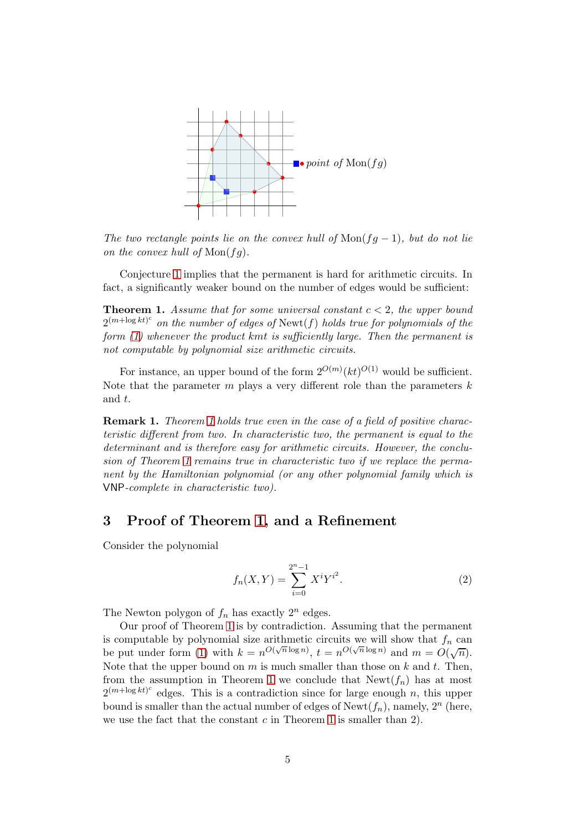

The two rectangle points lie on the convex hull of  $Mon(fg-1)$ , but do not lie on the convex hull of  $Mon(fq)$ .

Conjecture [1](#page-2-2) implies that the permanent is hard for arithmetic circuits. In fact, a significantly weaker bound on the number of edges would be sufficient:

<span id="page-4-0"></span>**Theorem 1.** Assume that for some universal constant  $c < 2$ , the upper bound  $2^{(m+\log kt)^c}$  on the number of edges of Newt(f) holds true for polynomials of the form [\(1\)](#page-2-3) whenever the product kmt is sufficiently large. Then the permanent is not computable by polynomial size arithmetic circuits.

For instance, an upper bound of the form  $2^{O(m)}(kt)^{O(1)}$  would be sufficient. Note that the parameter  $m$  plays a very different role than the parameters  $k$ and t.

**Remark [1](#page-4-0).** Theorem 1 holds true even in the case of a field of positive characteristic different from two. In characteristic two, the permanent is equal to the determinant and is therefore easy for arithmetic circuits. However, the conclusion of Theorem [1](#page-4-0) remains true in characteristic two if we replace the permanent by the Hamiltonian polynomial (or any other polynomial family which is VNP-complete in characteristic two).

### <span id="page-4-1"></span>3 Proof of Theorem [1,](#page-4-0) and a Refinement

Consider the polynomial

<span id="page-4-2"></span>
$$
f_n(X,Y) = \sum_{i=0}^{2^n - 1} X^i Y^{i^2}.
$$
 (2)

The Newton polygon of  $f_n$  has exactly  $2^n$  edges.

Our proof of Theorem [1](#page-4-0) is by contradiction. Assuming that the permanent is computable by polynomial size arithmetic circuits we will show that  $f_n$  can be put under form [\(1\)](#page-2-3) with  $k = n^{O(\sqrt{n}\log n)}$ ,  $t = n^{O(\sqrt{n}\log n)}$  and  $m = O(\sqrt{n})$ . Note that the upper bound on  $m$  is much smaller than those on  $k$  and  $t$ . Then, from the assumption in Theorem [1](#page-4-0) we conclude that  $\text{Newt}(f_n)$  has at most  $2^{(m+\log kt)^c}$  edges. This is a contradiction since for large enough n, this upper bound is smaller than the actual number of edges of  $\text{Newt}(f_n)$ , namely,  $2^n$  (here, we use the fact that the constant  $c$  in Theorem [1](#page-4-0) is smaller than 2).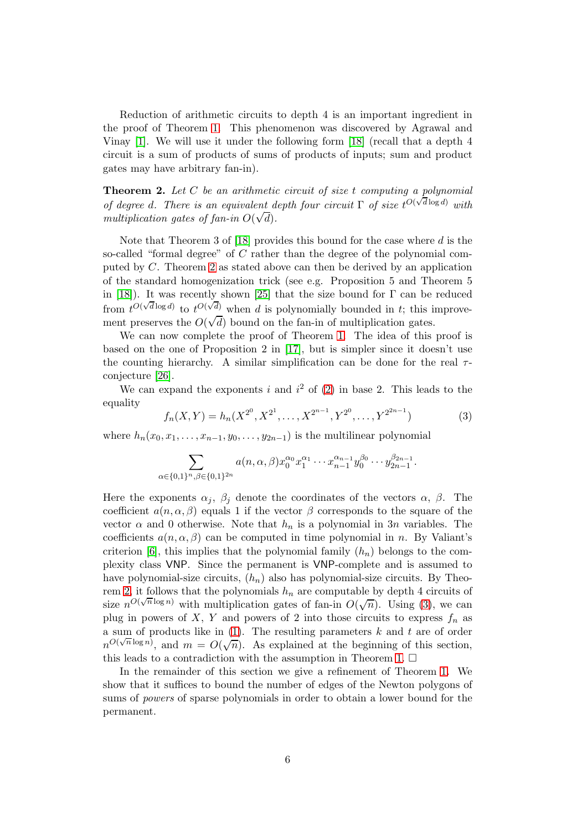Reduction of arithmetic circuits to depth 4 is an important ingredient in the proof of Theorem [1.](#page-4-0) This phenomenon was discovered by Agrawal and Vinay [\[1\]](#page-10-10). We will use it under the following form [\[18\]](#page-11-7) (recall that a depth 4 circuit is a sum of products of sums of products of inputs; sum and product gates may have arbitrary fan-in).

<span id="page-5-0"></span>**Theorem 2.** Let  $C$  be an arithmetic circuit of size t computing a polynomial of degree d. There is an equivalent depth four circuit  $\Gamma$  of size  $t^{O(\sqrt{d}\log d)}$  with multiplication gates of fan-in  $O(\sqrt{d})$ .

Note that Theorem 3 of  $[18]$  provides this bound for the case where  $d$  is the so-called "formal degree" of  $C$  rather than the degree of the polynomial computed by C. Theorem [2](#page-5-0) as stated above can then be derived by an application of the standard homogenization trick (see e.g. Proposition 5 and Theorem 5 in [\[18\]](#page-11-7)). It was recently shown [\[25\]](#page-11-8) that the size bound for  $\Gamma$  can be reduced from  $t^{O(\sqrt{d}\log d)}$  to  $t^{O(\sqrt{d})}$  when d is polynomially bounded in t; this improvement preserves the  $O(\sqrt{d})$  bound on the fan-in of multiplication gates.

We can now complete the proof of Theorem [1.](#page-4-0) The idea of this proof is based on the one of Proposition 2 in [\[17\]](#page-10-6), but is simpler since it doesn't use the counting hierarchy. A similar simplification can be done for the real  $\tau$ conjecture [\[26\]](#page-11-9).

We can expand the exponents i and  $i^2$  of [\(2\)](#page-4-2) in base 2. This leads to the equality

<span id="page-5-1"></span>
$$
f_n(X,Y) = h_n(X^{2^0}, X^{2^1}, \dots, X^{2^{n-1}}, Y^{2^0}, \dots, Y^{2^{2n-1}})
$$
 (3)

where  $h_n(x_0, x_1, \ldots, x_{n-1}, y_0, \ldots, y_{2n-1})$  is the multilinear polynomial

$$
\sum_{\alpha\in\{0,1\}^n,\beta\in\{0,1\}^{2n}}a(n,\alpha,\beta)x_0^{\alpha_0}x_1^{\alpha_1}\cdots x_{n-1}^{\alpha_{n-1}}y_0^{\beta_0}\cdots y_{2n-1}^{\beta_{2n-1}}.
$$

Here the exponents  $\alpha_j$ ,  $\beta_j$  denote the coordinates of the vectors  $\alpha$ ,  $\beta$ . The coefficient  $a(n, \alpha, \beta)$  equals 1 if the vector  $\beta$  corresponds to the square of the vector  $\alpha$  and 0 otherwise. Note that  $h_n$  is a polynomial in 3n variables. The coefficients  $a(n, \alpha, \beta)$  can be computed in time polynomial in n. By Valiant's criterion [\[6\]](#page-10-3), this implies that the polynomial family  $(h_n)$  belongs to the complexity class VNP. Since the permanent is VNP-complete and is assumed to have polynomial-size circuits,  $(h_n)$  also has polynomial-size circuits. By Theo-rem [2,](#page-5-0) it follows that the polynomials  $h_n$  are computable by depth 4 circuits of size  $n^{O(\sqrt{n}\log n)}$  with multiplication gates of fan-in  $O(\sqrt{n})$ . Using [\(3\)](#page-5-1), we can plug in powers of X, Y and powers of 2 into those circuits to express  $f_n$  as a sum of products like in  $(1)$ . The resulting parameters k and t are of order  $n^{O(\sqrt{n}\log n)}$ , and  $m = O(\sqrt{n})$ . As explained at the beginning of this section, this leads to a contradiction with the assumption in Theorem [1.](#page-4-0)  $\Box$ 

In the remainder of this section we give a refinement of Theorem [1.](#page-4-0) We show that it suffices to bound the number of edges of the Newton polygons of sums of powers of sparse polynomials in order to obtain a lower bound for the permanent.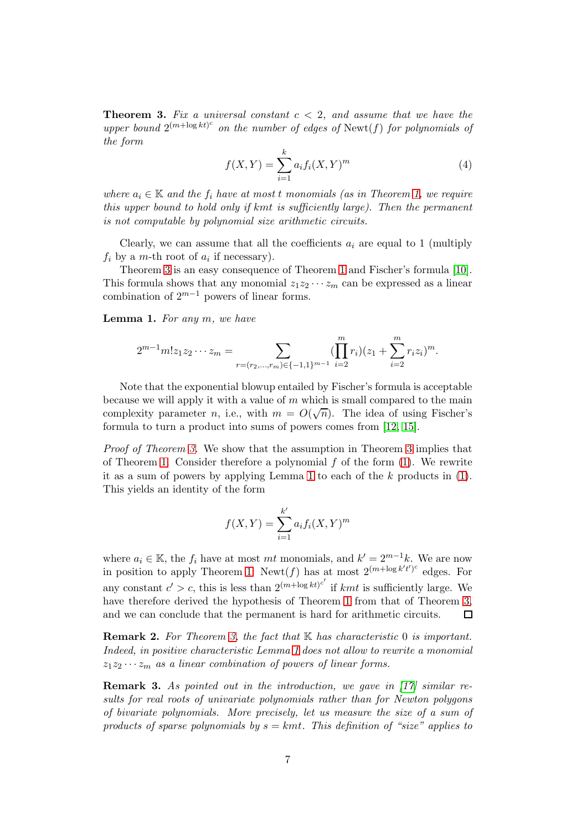<span id="page-6-0"></span>**Theorem 3.** Fix a universal constant  $c < 2$ , and assume that we have the upper bound  $2^{(m+\log kt)^c}$  on the number of edges of Newt(f) for polynomials of the form

$$
f(X,Y) = \sum_{i=1}^{k} a_i f_i(X,Y)^m
$$
 (4)

where  $a_i \in \mathbb{K}$  and the  $f_i$  have at most t monomials (as in Theorem [1,](#page-4-0) we require this upper bound to hold only if kmt is sufficiently large). Then the permanent is not computable by polynomial size arithmetic circuits.

Clearly, we can assume that all the coefficients  $a_i$  are equal to 1 (multiply  $f_i$  by a m-th root of  $a_i$  if necessary).

Theorem [3](#page-6-0) is an easy consequence of Theorem [1](#page-4-0) and Fischer's formula [\[10\]](#page-10-11). This formula shows that any monomial  $z_1z_2 \cdots z_m$  can be expressed as a linear combination of  $2^{m-1}$  powers of linear forms.

<span id="page-6-1"></span>**Lemma 1.** For any  $m$ , we have

$$
2^{m-1}m!z_1z_2\cdots z_m = \sum_{r=(r_2,\ldots,r_m)\in\{-1,1\}^{m-1}}\left(\prod_{i=2}^mr_i\right)(z_1+\sum_{i=2}^mr_iz_i)^m.
$$

Note that the exponential blowup entailed by Fischer's formula is acceptable because we will apply it with a value of  $m$  which is small compared to the main complexity parameter *n*, i.e., with  $m = O(\sqrt{n})$ . The idea of using Fischer's formula to turn a product into sums of powers comes from [\[12,](#page-10-12) [15\]](#page-10-13).

Proof of Theorem [3.](#page-6-0) We show that the assumption in Theorem [3](#page-6-0) implies that of Theorem [1.](#page-4-0) Consider therefore a polynomial  $f$  of the form  $(1)$ . We rewrite it as a sum of powers by applying Lemma [1](#page-6-1) to each of the  $k$  products in  $(1)$ . This yields an identity of the form

$$
f(X, Y) = \sum_{i=1}^{k'} a_i f_i(X, Y)^m
$$

where  $a_i \in \mathbb{K}$ , the  $f_i$  have at most mt monomials, and  $k' = 2^{m-1}k$ . We are now in position to apply Theorem [1:](#page-4-0) Newt(f) has at most  $2^{(m+\log k't')^c}$  edges. For any constant  $c' > c$ , this is less than  $2^{(m+\log kt)^{c'}}$  if kmt is sufficiently large. We have therefore derived the hypothesis of Theorem [1](#page-4-0) from that of Theorem [3,](#page-6-0) and we can conclude that the permanent is hard for arithmetic circuits. П

**Remark 2.** For Theorem [3,](#page-6-0) the fact that  $K$  has characteristic 0 is important. Indeed, in positive characteristic Lemma [1](#page-6-1) does not allow to rewrite a monomial  $z_1z_2 \cdots z_m$  as a linear combination of powers of linear forms.

**Remark 3.** As pointed out in the introduction, we qave in  $[17]$  similar results for real roots of univariate polynomials rather than for Newton polygons of bivariate polynomials. More precisely, let us measure the size of a sum of products of sparse polynomials by  $s = kmt$ . This definition of "size" applies to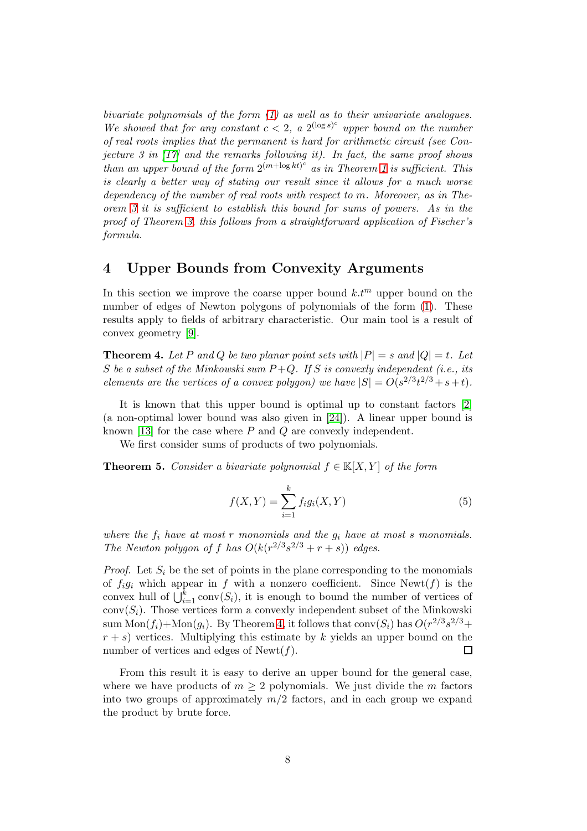bivariate polynomials of the form [\(1\)](#page-2-3) as well as to their univariate analogues. We showed that for any constant  $c < 2$ , a  $2^{(\log s)^c}$  upper bound on the number of real roots implies that the permanent is hard for arithmetic circuit (see Conjecture 3 in  $\left[17\right]$  and the remarks following it). In fact, the same proof shows than an upper bound of the form  $2^{(m+\log kt)^c}$  as in Theorem [1](#page-4-0) is sufficient. This is clearly a better way of stating our result since it allows for a much worse dependency of the number of real roots with respect to m. Moreover, as in Theorem [3](#page-6-0) it is sufficient to establish this bound for sums of powers. As in the proof of Theorem [3,](#page-6-0) this follows from a straightforward application of Fischer's formula.

# <span id="page-7-0"></span>4 Upper Bounds from Convexity Arguments

In this section we improve the coarse upper bound  $k.t<sup>m</sup>$  upper bound on the number of edges of Newton polygons of polynomials of the form [\(1\)](#page-2-3). These results apply to fields of arbitrary characteristic. Our main tool is a result of convex geometry [\[9\]](#page-10-7).

<span id="page-7-1"></span>**Theorem 4.** Let P and Q be two planar point sets with  $|P| = s$  and  $|Q| = t$ . Let S be a subset of the Minkowski sum  $P+Q$ . If S is convexly independent (i.e., its elements are the vertices of a convex polygon) we have  $|S| = O(s^{2/3}t^{2/3} + s + t)$ .

It is known that this upper bound is optimal up to constant factors [\[2\]](#page-10-14) (a non-optimal lower bound was also given in [\[24\]](#page-11-10)). A linear upper bound is known [\[13\]](#page-10-15) for the case where P and Q are convexly independent.

We first consider sums of products of two polynomials.

<span id="page-7-2"></span>**Theorem 5.** Consider a bivariate polynomial  $f \in K[X, Y]$  of the form

$$
f(X,Y) = \sum_{i=1}^{k} f_i g_i(X,Y)
$$
 (5)

where the  $f_i$  have at most r monomials and the  $g_i$  have at most s monomials. The Newton polygon of f has  $O(k(r^{2/3}s^{2/3}+r+s))$  edges.

*Proof.* Let  $S_i$  be the set of points in the plane corresponding to the monomials of  $f_i g_i$  which appear in f with a nonzero coefficient. Since Newt(f) is the convex hull of  $\bigcup_{i=1}^k \text{conv}(S_i)$ , it is enough to bound the number of vertices of  $conv(S_i)$ . Those vertices form a convexly independent subset of the Minkowski sum  $\text{Mon}(f_i) + \text{Mon}(g_i)$ . By Theorem [4,](#page-7-1) it follows that  $\text{conv}(S_i)$  has  $O(r^{2/3}s^{2/3} +$  $r + s$ ) vertices. Multiplying this estimate by k yields an upper bound on the number of vertices and edges of  $\text{Newt}(f)$ . П

From this result it is easy to derive an upper bound for the general case, where we have products of  $m \geq 2$  polynomials. We just divide the m factors into two groups of approximately  $m/2$  factors, and in each group we expand the product by brute force.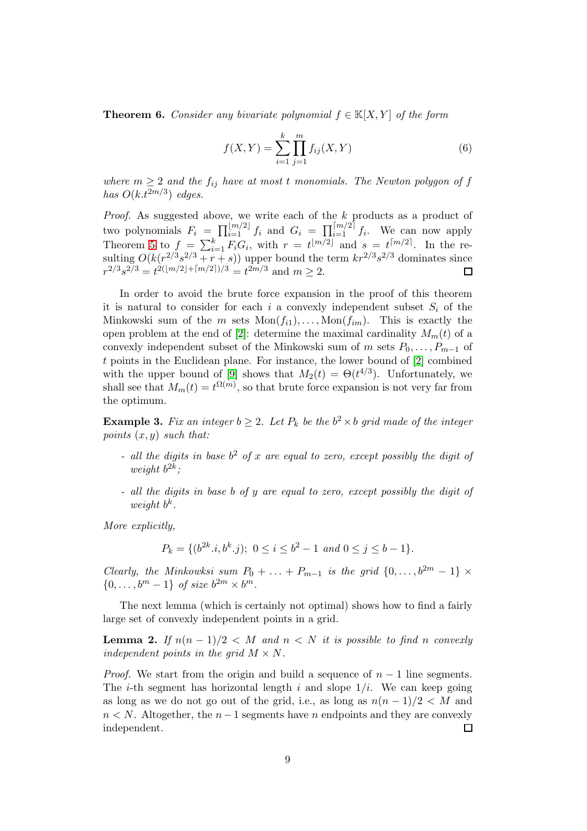<span id="page-8-2"></span>**Theorem 6.** Consider any bivariate polynomial  $f \in K[X, Y]$  of the form

$$
f(X,Y) = \sum_{i=1}^{k} \prod_{j=1}^{m} f_{ij}(X,Y)
$$
 (6)

where  $m \geq 2$  and the  $f_{ij}$  have at most t monomials. The Newton polygon of f has  $O(k.t^{2m/3})$  edges.

Proof. As suggested above, we write each of the k products as a product of two polynomials  $F_i = \prod_{i=1}^{\lfloor m/2 \rfloor} f_i$  and  $G_i = \prod_{i=1}^{\lceil m/2 \rceil} f_i$ . We can now apply Theorem [5](#page-7-2) to  $f = \sum_{i=1}^{k} F_i G_i$ , with  $r = t^{\lfloor m/2 \rfloor}$  and  $s = t^{\lceil m/2 \rceil}$ . In the resulting  $O(k(r^{2/3}s^{2/3}+r+s))$  upper bound the term  $kr^{2/3}s^{2/3}$  dominates since  $r^{2/3}s^{2/3} = t^{2(\lfloor m/2 \rfloor + \lceil m/2 \rceil)/3} = t^{2m/3}$  and  $m \ge 2$ .  $\Box$ 

In order to avoid the brute force expansion in the proof of this theorem it is natural to consider for each i a convexly independent subset  $S_i$  of the Minkowski sum of the m sets  $Mon(f_{i1}), \ldots, Mon(f_{im})$ . This is exactly the open problem at the end of [\[2\]](#page-10-14): determine the maximal cardinality  $M_m(t)$  of a convexly independent subset of the Minkowski sum of m sets  $P_0, \ldots, P_{m-1}$  of t points in the Euclidean plane. For instance, the lower bound of [\[2\]](#page-10-14) combined with the upper bound of [\[9\]](#page-10-7) shows that  $M_2(t) = \Theta(t^{4/3})$ . Unfortunately, we shall see that  $M_m(t) = t^{\Omega(m)}$ , so that brute force expansion is not very far from the optimum.

<span id="page-8-0"></span>**Example 3.** Fix an integer  $b \geq 2$ . Let  $P_k$  be the  $b^2 \times b$  grid made of the integer points  $(x, y)$  such that:

- all the digits in base  $b^2$  of x are equal to zero, except possibly the digit of weight  $b^{2k}$ ;
- all the digits in base b of y are equal to zero, except possibly the digit of weight  $b^k$ .

More explicitly,

$$
P_k = \{ (b^{2k} \cdot i, b^k \cdot j); \ 0 \le i \le b^2 - 1 \ and \ 0 \le j \le b - 1 \}.
$$

Clearly, the Minkowksi sum  $P_0 + \ldots + P_{m-1}$  is the grid  $\{0, \ldots, b^{2m} - 1\}$  ×  $\{0,\ldots,b^m-1\}$  of size  $b^{2m}\times b^m$ .

The next lemma (which is certainly not optimal) shows how to find a fairly large set of convexly independent points in a grid.

<span id="page-8-1"></span>**Lemma 2.** If  $n(n-1)/2 < M$  and  $n < N$  it is possible to find n convexly independent points in the grid  $M \times N$ .

*Proof.* We start from the origin and build a sequence of  $n - 1$  line segments. The *i*-th segment has horizontal length i and slope  $1/i$ . We can keep going as long as we do not go out of the grid, i.e., as long as  $n(n-1)/2 < M$  and *n* < *N*. Altogether, the *n* − 1 segments have *n* endpoints and they are convexly independent.  $\square$ independent.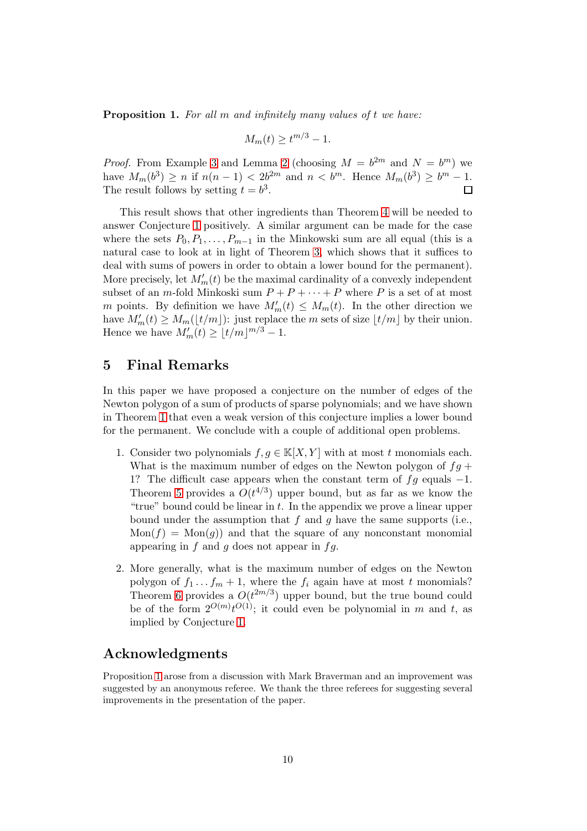<span id="page-9-0"></span>Proposition 1. For all m and infinitely many values of t we have:

$$
M_m(t) \ge t^{m/3} - 1.
$$

*Proof.* From Example [3](#page-8-0) and Lemma [2](#page-8-1) (choosing  $M = b^{2m}$  and  $N = b^m$ ) we have  $M_m(b^3) \ge n$  if  $n(n-1) < 2b^{2m}$  and  $n < b^m$ . Hence  $M_m(b^3) \ge b^m - 1$ . The result follows by setting  $t = b^3$ .

This result shows that other ingredients than Theorem [4](#page-7-1) will be needed to answer Conjecture [1](#page-2-2) positively. A similar argument can be made for the case where the sets  $P_0, P_1, \ldots, P_{m-1}$  in the Minkowski sum are all equal (this is a natural case to look at in light of Theorem [3,](#page-6-0) which shows that it suffices to deal with sums of powers in order to obtain a lower bound for the permanent). More precisely, let  $M'_m(t)$  be the maximal cardinality of a convexly independent subset of an m-fold Minkoski sum  $P + P + \cdots + P$  where P is a set of at most m points. By definition we have  $M'_m(t) \leq M_m(t)$ . In the other direction we have  $M'_m(t) \geq M_m(\lfloor t/m \rfloor)$ : just replace the m sets of size  $\lfloor t/m \rfloor$  by their union. Hence we have  $M'_m(t) \geq \lfloor t/m \rfloor^{m/3} - 1$ .

#### 5 Final Remarks

In this paper we have proposed a conjecture on the number of edges of the Newton polygon of a sum of products of sparse polynomials; and we have shown in Theorem [1](#page-4-0) that even a weak version of this conjecture implies a lower bound for the permanent. We conclude with a couple of additional open problems.

- 1. Consider two polynomials  $f, g \in \mathbb{K}[X, Y]$  with at most t monomials each. What is the maximum number of edges on the Newton polygon of  $fg +$ 1? The difficult case appears when the constant term of  $fg$  equals  $-1$ . Theorem [5](#page-7-2) provides a  $O(t^{4/3})$  upper bound, but as far as we know the "true" bound could be linear in  $t$ . In the appendix we prove a linear upper bound under the assumption that  $f$  and  $g$  have the same supports (i.e.,  $Mon(f) = Mon(g)$  and that the square of any nonconstant monomial appearing in f and g does not appear in  $fg$ .
- 2. More generally, what is the maximum number of edges on the Newton polygon of  $f_1 \tcdot f_m + 1$ , where the  $f_i$  again have at most t monomials? Theorem [6](#page-8-2) provides a  $O(t^{2m/3})$  upper bound, but the true bound could be of the form  $2^{O(m)}t^{O(1)}$ ; it could even be polynomial in m and t, as implied by Conjecture [1.](#page-2-2)

# Acknowledgments

Proposition [1](#page-9-0) arose from a discussion with Mark Braverman and an improvement was suggested by an anonymous referee. We thank the three referees for suggesting several improvements in the presentation of the paper.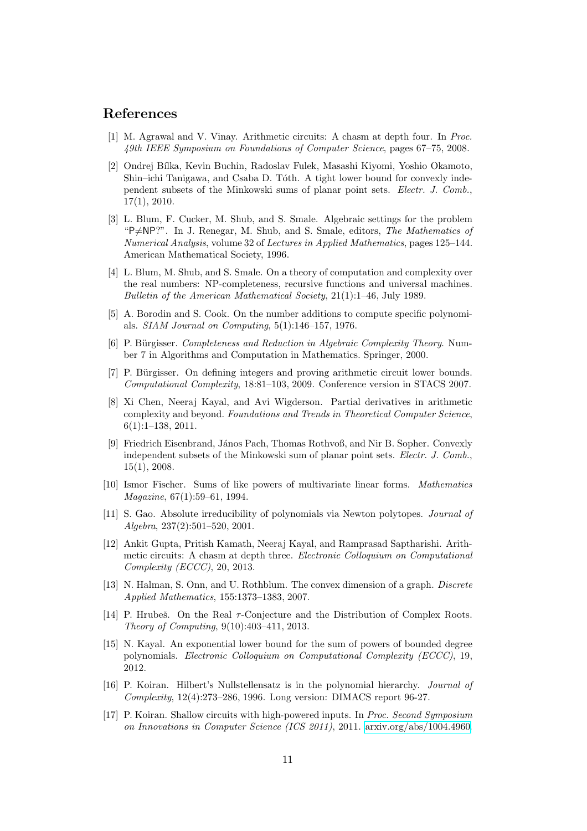# <span id="page-10-10"></span>References

- <span id="page-10-14"></span>[1] M. Agrawal and V. Vinay. Arithmetic circuits: A chasm at depth four. In Proc. 49th IEEE Symposium on Foundations of Computer Science, pages 67–75, 2008.
- [2] Ondrej B´ılka, Kevin Buchin, Radoslav Fulek, Masashi Kiyomi, Yoshio Okamoto, Shin–ichi Tanigawa, and Csaba D. Tóth. A tight lower bound for convexly independent subsets of the Minkowski sums of planar point sets. Electr. J. Comb., 17(1), 2010.
- <span id="page-10-1"></span>[3] L. Blum, F. Cucker, M. Shub, and S. Smale. Algebraic settings for the problem "P≠NP?". In J. Renegar, M. Shub, and S. Smale, editors, The Mathematics of Numerical Analysis, volume 32 of Lectures in Applied Mathematics, pages 125–144. American Mathematical Society, 1996.
- <span id="page-10-0"></span>[4] L. Blum, M. Shub, and S. Smale. On a theory of computation and complexity over the real numbers: NP-completeness, recursive functions and universal machines. Bulletin of the American Mathematical Society, 21(1):1–46, July 1989.
- <span id="page-10-5"></span>[5] A. Borodin and S. Cook. On the number additions to compute specific polynomials. SIAM Journal on Computing, 5(1):146–157, 1976.
- <span id="page-10-3"></span>[6] P. Bürgisser. Completeness and Reduction in Algebraic Complexity Theory. Number 7 in Algorithms and Computation in Mathematics. Springer, 2000.
- <span id="page-10-2"></span>[7] P. Bürgisser. On defining integers and proving arithmetic circuit lower bounds. Computational Complexity, 18:81–103, 2009. Conference version in STACS 2007.
- <span id="page-10-4"></span>[8] Xi Chen, Neeraj Kayal, and Avi Wigderson. Partial derivatives in arithmetic complexity and beyond. Foundations and Trends in Theoretical Computer Science, 6(1):1–138, 2011.
- <span id="page-10-7"></span>[9] Friedrich Eisenbrand, János Pach, Thomas Rothvoß, and Nir B. Sopher. Convexly independent subsets of the Minkowski sum of planar point sets. Electr. J. Comb., 15(1), 2008.
- <span id="page-10-11"></span>[10] Ismor Fischer. Sums of like powers of multivariate linear forms. Mathematics Magazine, 67(1):59–61, 1994.
- <span id="page-10-8"></span>[11] S. Gao. Absolute irreducibility of polynomials via Newton polytopes. Journal of Algebra, 237(2):501–520, 2001.
- <span id="page-10-12"></span>[12] Ankit Gupta, Pritish Kamath, Neeraj Kayal, and Ramprasad Saptharishi. Arithmetic circuits: A chasm at depth three. Electronic Colloquium on Computational Complexity (ECCC), 20, 2013.
- <span id="page-10-15"></span>[13] N. Halman, S. Onn, and U. Rothblum. The convex dimension of a graph. Discrete Applied Mathematics, 155:1373–1383, 2007.
- <span id="page-10-9"></span>[14] P. Hrubeš. On the Real  $\tau$ -Conjecture and the Distribution of Complex Roots. Theory of Computing, 9(10):403–411, 2013.
- <span id="page-10-13"></span>[15] N. Kayal. An exponential lower bound for the sum of powers of bounded degree polynomials. Electronic Colloquium on Computational Complexity (ECCC), 19, 2012.
- [16] P. Koiran. Hilbert's Nullstellensatz is in the polynomial hierarchy. Journal of Complexity, 12(4):273–286, 1996. Long version: DIMACS report 96-27.
- <span id="page-10-6"></span>[17] P. Koiran. Shallow circuits with high-powered inputs. In Proc. Second Symposium on Innovations in Computer Science (ICS 2011), 2011. [arxiv.org/abs/1004.4960.](http://arxiv.org/abs/1004.4960)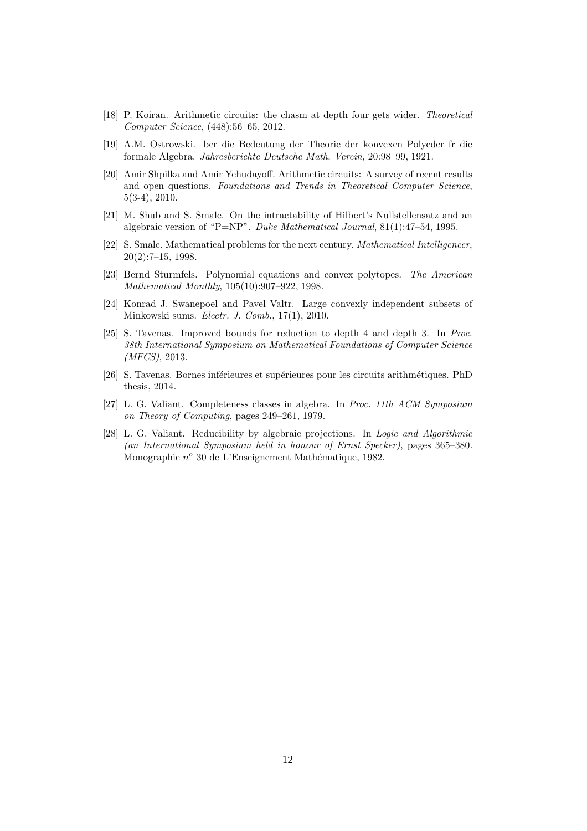- <span id="page-11-7"></span>[18] P. Koiran. Arithmetic circuits: the chasm at depth four gets wider. Theoretical Computer Science, (448):56–65, 2012.
- <span id="page-11-6"></span><span id="page-11-3"></span>[19] A.M. Ostrowski. ber die Bedeutung der Theorie der konvexen Polyeder fr die formale Algebra. Jahresberichte Deutsche Math. Verein, 20:98–99, 1921.
- [20] Amir Shpilka and Amir Yehudayoff. Arithmetic circuits: A survey of recent results and open questions. Foundations and Trends in Theoretical Computer Science, 5(3-4), 2010.
- <span id="page-11-0"></span>[21] M. Shub and S. Smale. On the intractability of Hilbert's Nullstellensatz and an algebraic version of "P=NP". Duke Mathematical Journal, 81(1):47–54, 1995.
- <span id="page-11-4"></span>[22] S. Smale. Mathematical problems for the next century. Mathematical Intelligencer, 20(2):7–15, 1998.
- <span id="page-11-5"></span>[23] Bernd Sturmfels. Polynomial equations and convex polytopes. The American Mathematical Monthly, 105(10):907–922, 1998.
- <span id="page-11-10"></span>[24] Konrad J. Swanepoel and Pavel Valtr. Large convexly independent subsets of Minkowski sums. Electr. J. Comb., 17(1), 2010.
- <span id="page-11-8"></span>[25] S. Tavenas. Improved bounds for reduction to depth 4 and depth 3. In Proc. 38th International Symposium on Mathematical Foundations of Computer Science (MFCS), 2013.
- <span id="page-11-9"></span>[26] S. Tavenas. Bornes inférieures et supérieures pour les circuits arithmétiques. PhD thesis, 2014.
- <span id="page-11-1"></span>[27] L. G. Valiant. Completeness classes in algebra. In Proc. 11th ACM Symposium on Theory of Computing, pages 249–261, 1979.
- <span id="page-11-2"></span>[28] L. G. Valiant. Reducibility by algebraic projections. In Logic and Algorithmic (an International Symposium held in honour of Ernst Specker), pages 365–380. Monographie  $n^o$  30 de L'Enseignement Mathématique, 1982.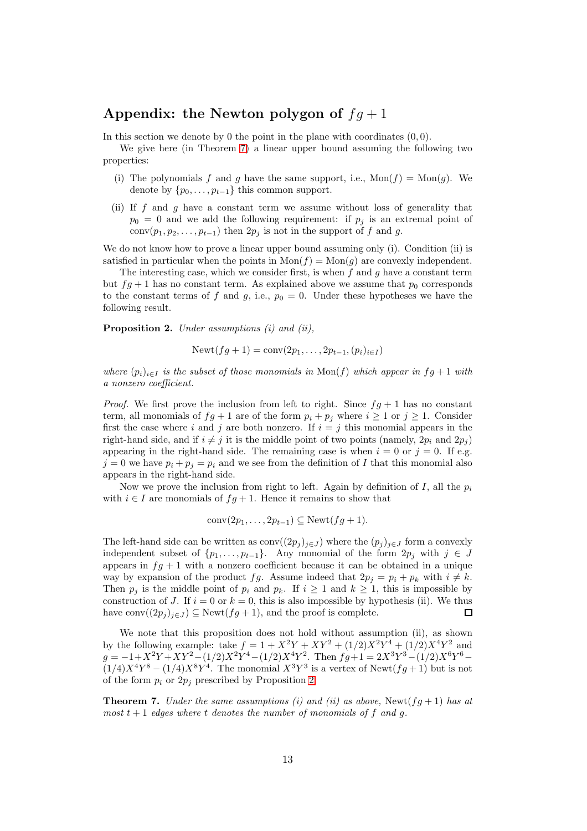# Appendix: the Newton polygon of  $fq+1$

In this section we denote by 0 the point in the plane with coordinates  $(0, 0)$ .

We give here (in Theorem [7\)](#page-12-0) a linear upper bound assuming the following two properties:

- (i) The polynomials f and g have the same support, i.e.,  $\text{Mon}(f) = \text{Mon}(g)$ . We denote by  $\{p_0, \ldots, p_{t-1}\}\)$  this common support.
- (ii) If  $f$  and  $g$  have a constant term we assume without loss of generality that  $p_0 = 0$  and we add the following requirement: if  $p_j$  is an extremal point of conv $(p_1, p_2, \ldots, p_{t-1})$  then  $2p_j$  is not in the support of f and g.

We do not know how to prove a linear upper bound assuming only (i). Condition (ii) is satisfied in particular when the points in  $Mon(f) = Mon(g)$  are convexly independent.

The interesting case, which we consider first, is when  $f$  and  $g$  have a constant term but  $fg + 1$  has no constant term. As explained above we assume that  $p_0$  corresponds to the constant terms of f and g, i.e.,  $p_0 = 0$ . Under these hypotheses we have the following result.

<span id="page-12-1"></span>Proposition 2. Under assumptions (i) and (ii),

$$
Newt(fg + 1) = conv(2p_1, ..., 2p_{t-1}, (p_i)_{i \in I})
$$

where  $(p_i)_{i\in I}$  is the subset of those monomials in  $\text{Mon}(f)$  which appear in  $fg+1$  with a nonzero coefficient.

*Proof.* We first prove the inclusion from left to right. Since  $fg + 1$  has no constant term, all monomials of  $fg + 1$  are of the form  $p_i + p_j$  where  $i \ge 1$  or  $j \ge 1$ . Consider first the case where i and j are both nonzero. If  $i = j$  this monomial appears in the right-hand side, and if  $i \neq j$  it is the middle point of two points (namely,  $2p_i$  and  $2p_j$ ) appearing in the right-hand side. The remaining case is when  $i = 0$  or  $j = 0$ . If e.g.  $j = 0$  we have  $p_i + p_j = p_i$  and we see from the definition of I that this monomial also appears in the right-hand side.

Now we prove the inclusion from right to left. Again by definition of I, all the  $p_i$ with  $i \in I$  are monomials of  $fg + 1$ . Hence it remains to show that

$$
conv(2p_1, \ldots, 2p_{t-1}) \subseteq
$$
 Newt $(fg + 1)$ .

The left-hand side can be written as  $\text{conv}((2p_j)_{j\in J})$  where the  $(p_j)_{j\in J}$  form a convexly independent subset of  $\{p_1, \ldots, p_{t-1}\}$ . Any monomial of the form  $2p_j$  with  $j \in J$ appears in  $fg + 1$  with a nonzero coefficient because it can be obtained in a unique way by expansion of the product fg. Assume indeed that  $2p_i = p_i + p_k$  with  $i \neq k$ . Then  $p_i$  is the middle point of  $p_i$  and  $p_k$ . If  $i \ge 1$  and  $k \ge 1$ , this is impossible by construction of J. If  $i = 0$  or  $k = 0$ , this is also impossible by hypothesis (ii). We thus have conv $((2p_j)_{j\in J}) \subseteq$  Newt $(fg+1)$ , and the proof is complete. П

We note that this proposition does not hold without assumption (ii), as shown by the following example: take  $f = 1 + X^2Y + XY^2 + (1/2)X^2Y^4 + (1/2)X^4Y^2$  and  $g = -1 + X^2 Y + XY^2 - (1/2)X^2 Y^4 - (1/2)X^4 Y^2$ . Then  $fg + 1 = 2X^3 Y^3 - (1/2)X^6 Y^6 (1/4)X^{4}Y^{8} - (1/4)X^{8}Y^{4}$ . The monomial  $X^{3}Y^{3}$  is a vertex of Newt $(fg + 1)$  but is not of the form  $p_i$  or  $2p_j$  prescribed by Proposition [2.](#page-12-1)

<span id="page-12-0"></span>**Theorem 7.** Under the same assumptions (i) and (ii) as above, Newt( $fq + 1$ ) has at most  $t + 1$  edges where t denotes the number of monomials of f and g.